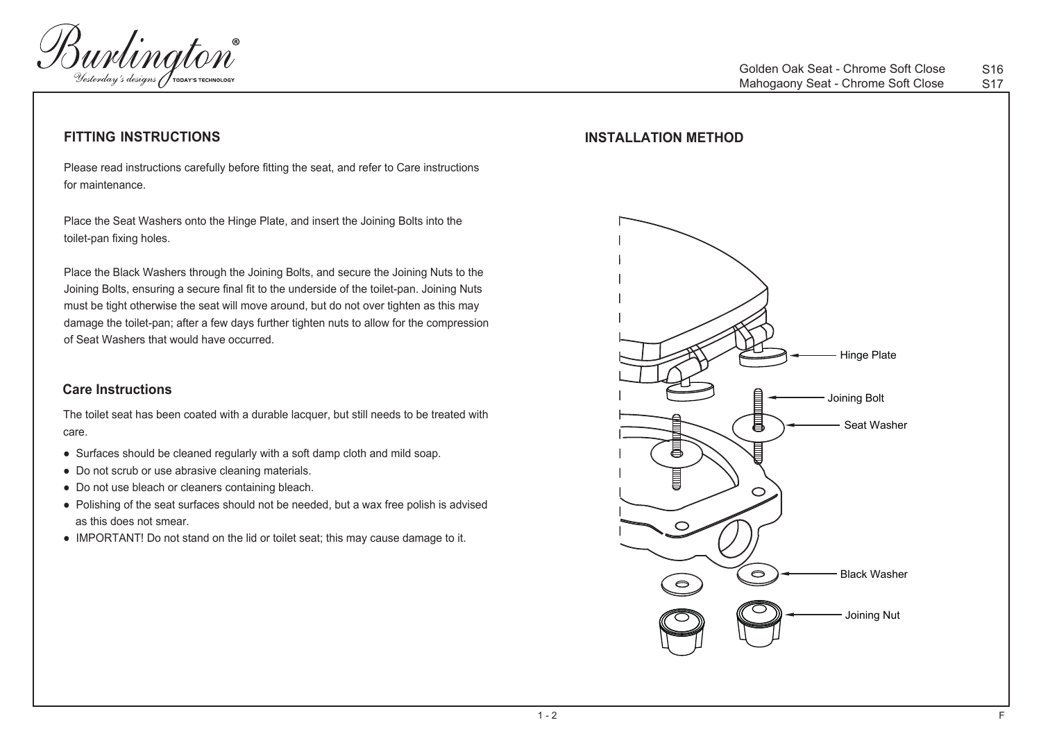

### **FITTING INSTRUCTIONS**

Please read instructions carefully before fitting the seat, and refer to Care instructions for maintenance.

Place the Seat Washers onto the Hinge Plate, and insert the Joining Bolts into the toilet-pan fixing holes.

Place the Black Washers through the Joining Bolts, and secure the Joining Nuts to the Joining Bolts, ensuring a secure final fit to the underside of the toilet-pan. Joining Nuts must be tight otherwise the seat will move around, but do not over tighten as this may damage the toilet-pan; after a few days further tighten nuts to allow for the compression of Seat Washers that would have occurred.

The toilet seat has been coated with a durable lacquer, but still needs to be treated with care.

- Surfaces should be cleaned regularly with a soft damp cloth and mild soap.
- Do not scrub or use abrasive cleaning materials.
- Do not use bleach or cleaners containing bleach.
- Polishing of the seat surfaces should not be needed, but a wax free polish is advised as this does not smear.
- IMPORTANT! Do not stand on the lid or toilet seat; this may cause damage to it.

## **INSTALLATION METHOD**

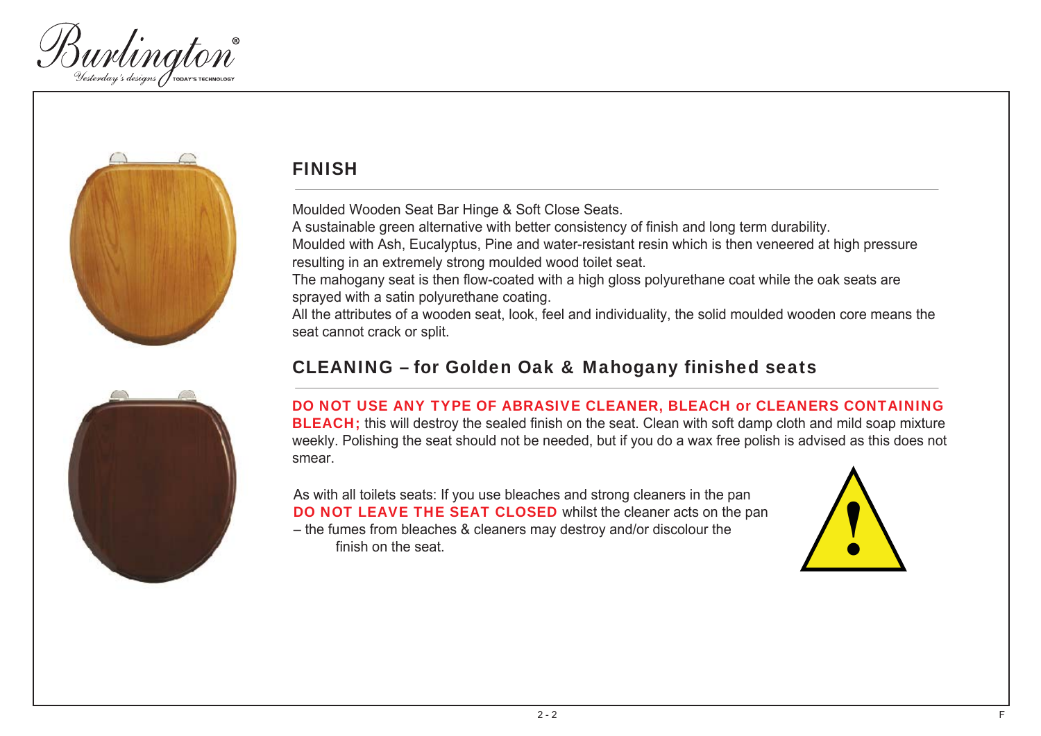



# FINISH

Moulded Wooden Seat Bar Hinge & Soft Close Seats. A sustainable green alternative with better consistency of finish and long term durability. Moulded with Ash, Eucalyptus, Pine and water-resistant resin which is then veneered at high pressure resulting in an extremely strong moulded wood toilet seat. The mahogany seat is then flow-coated with a high gloss polyurethane coat while the oak seats are sprayed with a satin polyurethane coating. All the attributes of a wooden seat, look, feel and individuality, the solid moulded wooden core means the seat cannot crack or split.

## CLEANING – for Golden Oak & Mahogany finished seats

## DO NOT USE ANY TYPE OF ABRASIVE CLEANER, BLEACH or CLEANERS CONTAINING **BLEACH**; this will destroy the sealed finish on the seat. Clean with soft damp cloth and mild soap mixture weekly. Polishing the seat should not be needed, but if you do a wax free polish is advised as this does not smear.

As with all toilets seats: If you use bleaches and strong cleaners in the pan DO NOT LEAVE THE SEAT CLOSED whilst the cleaner acts on the pan – the fumes from bleaches & cleaners may destroy and/or discolour the finish on the seat.